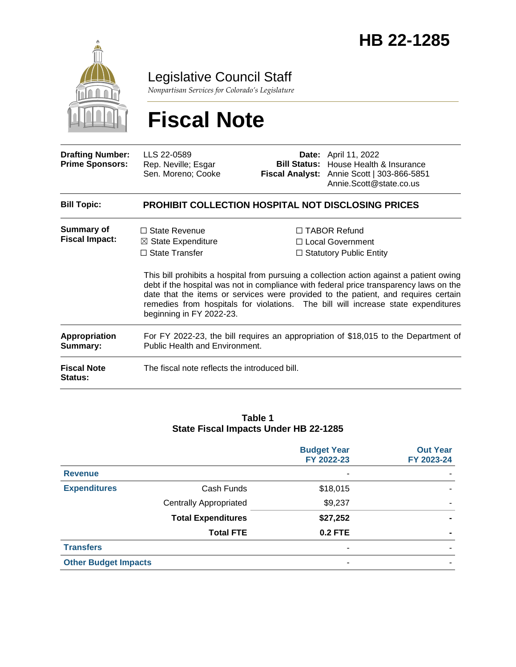

Legislative Council Staff

*Nonpartisan Services for Colorado's Legislature*

# **Fiscal Note**

| <b>Drafting Number:</b><br><b>Prime Sponsors:</b> | LLS 22-0589<br>Rep. Neville; Esgar<br>Sen. Moreno; Cooke                                                              |  | <b>Date:</b> April 11, 2022<br><b>Bill Status:</b> House Health & Insurance<br>Fiscal Analyst: Annie Scott   303-866-5851<br>Annie.Scott@state.co.us                                                                                                                                                                                                                                                                                    |  |
|---------------------------------------------------|-----------------------------------------------------------------------------------------------------------------------|--|-----------------------------------------------------------------------------------------------------------------------------------------------------------------------------------------------------------------------------------------------------------------------------------------------------------------------------------------------------------------------------------------------------------------------------------------|--|
| <b>Bill Topic:</b>                                | <b>PROHIBIT COLLECTION HOSPITAL NOT DISCLOSING PRICES</b>                                                             |  |                                                                                                                                                                                                                                                                                                                                                                                                                                         |  |
| <b>Summary of</b><br><b>Fiscal Impact:</b>        | $\Box$ State Revenue<br>$\boxtimes$ State Expenditure<br>$\Box$ State Transfer<br>beginning in FY 2022-23.            |  | □ TABOR Refund<br>□ Local Government<br>$\Box$ Statutory Public Entity<br>This bill prohibits a hospital from pursuing a collection action against a patient owing<br>debt if the hospital was not in compliance with federal price transparency laws on the<br>date that the items or services were provided to the patient, and requires certain<br>remedies from hospitals for violations. The bill will increase state expenditures |  |
| <b>Appropriation</b><br>Summary:                  | For FY 2022-23, the bill requires an appropriation of \$18,015 to the Department of<br>Public Health and Environment. |  |                                                                                                                                                                                                                                                                                                                                                                                                                                         |  |
| <b>Fiscal Note</b><br>Status:                     | The fiscal note reflects the introduced bill.                                                                         |  |                                                                                                                                                                                                                                                                                                                                                                                                                                         |  |

#### **Table 1 State Fiscal Impacts Under HB 22-1285**

|                             |                               | <b>Budget Year</b><br>FY 2022-23 | <b>Out Year</b><br>FY 2023-24 |
|-----------------------------|-------------------------------|----------------------------------|-------------------------------|
| <b>Revenue</b>              |                               | ۰                                |                               |
| <b>Expenditures</b>         | Cash Funds                    | \$18,015                         |                               |
|                             | <b>Centrally Appropriated</b> | \$9,237                          |                               |
|                             | <b>Total Expenditures</b>     | \$27,252                         |                               |
|                             | <b>Total FTE</b>              | <b>0.2 FTE</b>                   |                               |
| <b>Transfers</b>            |                               | ۰                                |                               |
| <b>Other Budget Impacts</b> |                               | ٠                                |                               |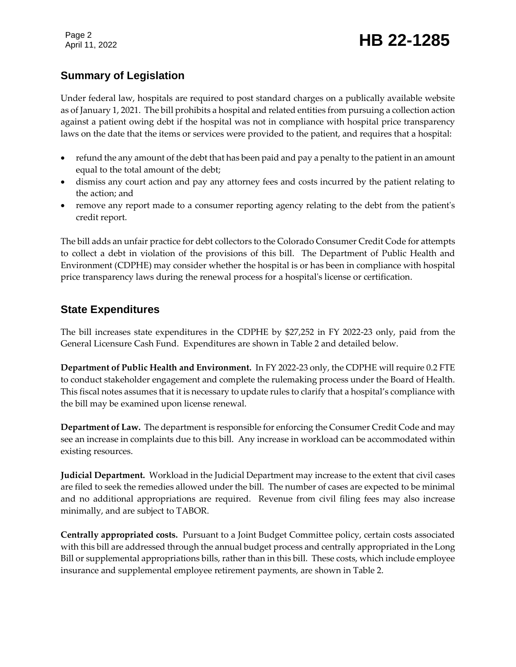Page 2

## Page 2<br>April 11, 2022 **HB 22-1285**

### **Summary of Legislation**

Under federal law, hospitals are required to post standard charges on a publically available website as of January 1, 2021. The bill prohibits a hospital and related entities from pursuing a collection action against a patient owing debt if the hospital was not in compliance with hospital price transparency laws on the date that the items or services were provided to the patient, and requires that a hospital:

- refund the any amount of the debt that has been paid and pay a penalty to the patient in an amount equal to the total amount of the debt;
- dismiss any court action and pay any attorney fees and costs incurred by the patient relating to the action; and
- remove any report made to a consumer reporting agency relating to the debt from the patient's credit report.

The bill adds an unfair practice for debt collectors to the Colorado Consumer Credit Code for attempts to collect a debt in violation of the provisions of this bill. The Department of Public Health and Environment (CDPHE) may consider whether the hospital is or has been in compliance with hospital price transparency laws during the renewal process for a hospital's license or certification.

#### **State Expenditures**

The bill increases state expenditures in the CDPHE by \$27,252 in FY 2022-23 only, paid from the General Licensure Cash Fund. Expenditures are shown in Table 2 and detailed below.

**Department of Public Health and Environment.** In FY 2022-23 only, the CDPHE will require 0.2 FTE to conduct stakeholder engagement and complete the rulemaking process under the Board of Health. This fiscal notes assumes that it is necessary to update rules to clarify that a hospital's compliance with the bill may be examined upon license renewal.

**Department of Law.** The department is responsible for enforcing the Consumer Credit Code and may see an increase in complaints due to this bill.Any increase in workload can be accommodated within existing resources.

**Judicial Department.** Workload in the Judicial Department may increase to the extent that civil cases are filed to seek the remedies allowed under the bill. The number of cases are expected to be minimal and no additional appropriations are required. Revenue from civil filing fees may also increase minimally, and are subject to TABOR.

**Centrally appropriated costs.** Pursuant to a Joint Budget Committee policy, certain costs associated with this bill are addressed through the annual budget process and centrally appropriated in the Long Bill or supplemental appropriations bills, rather than in this bill. These costs, which include employee insurance and supplemental employee retirement payments, are shown in Table 2.